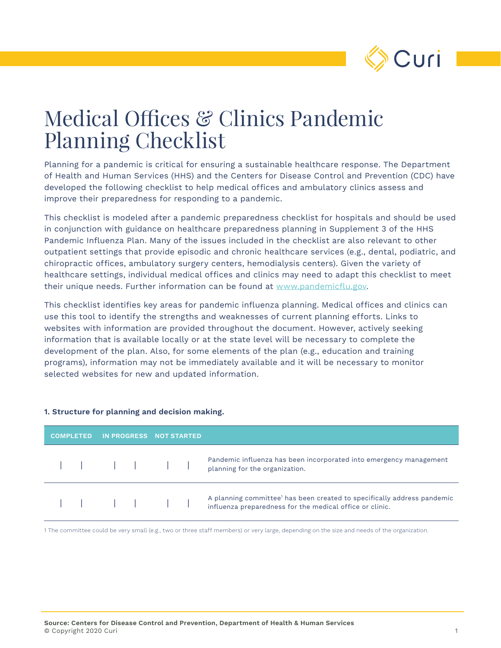

# Medical Offices & Clinics Pandemic Planning Checklist

Planning for a pandemic is critical for ensuring a sustainable healthcare response. The Department of Health and Human Services (HHS) and the Centers for Disease Control and Prevention (CDC) have developed the following checklist to help medical offices and ambulatory clinics assess and improve their preparedness for responding to a pandemic.

This checklist is modeled after a pandemic preparedness checklist for hospitals and should be used in conjunction with guidance on healthcare preparedness planning in Supplement 3 of the HHS Pandemic Influenza Plan. Many of the issues included in the checklist are also relevant to other outpatient settings that provide episodic and chronic healthcare services (e.g., dental, podiatric, and chiropractic offices, ambulatory surgery centers, hemodialysis centers). Given the variety of healthcare settings, individual medical offices and clinics may need to adapt this checklist to meet their unique needs. Further information can be found at www.pandemicflu.gov.

This checklist identifies key areas for pandemic influenza planning. Medical offices and clinics can use this tool to identify the strengths and weaknesses of current planning efforts. Links to websites with information are provided throughout the document. However, actively seeking information that is available locally or at the state level will be necessary to complete the development of the plan. Also, for some elements of the plan (e.g., education and training programs), information may not be immediately available and it will be necessary to monitor selected websites for new and updated information.

| <b>COMPLETED</b> |  |  | IN PROGRESS NOT STARTED |  |                                                                                                                                                 |
|------------------|--|--|-------------------------|--|-------------------------------------------------------------------------------------------------------------------------------------------------|
|                  |  |  |                         |  | Pandemic influenza has been incorporated into emergency management<br>planning for the organization.                                            |
|                  |  |  |                         |  | A planning committee <sup>1</sup> has been created to specifically address pandemic<br>influenza preparedness for the medical office or clinic. |

#### **1. Structure for planning and decision making.**

1 The committee could be very small (e.g., two or three staff members) or very large, depending on the size and needs of the organization.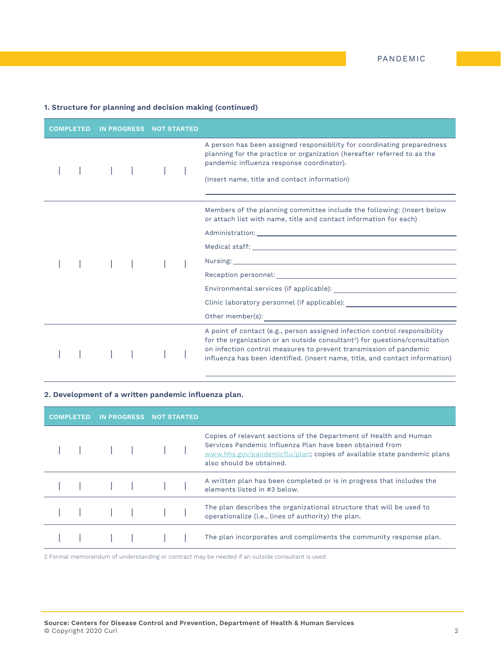#### **1. Structure for planning and decision making (continued)**

| <b>COMPLETED</b> | <b>IN PROGRESS</b> | <b>NOT STARTED</b> |                                                                                                                                                                                                                                                                                                                                                                                                                                                                   |
|------------------|--------------------|--------------------|-------------------------------------------------------------------------------------------------------------------------------------------------------------------------------------------------------------------------------------------------------------------------------------------------------------------------------------------------------------------------------------------------------------------------------------------------------------------|
|                  |                    |                    | A person has been assigned responsibility for coordinating preparedness<br>planning for the practice or organization (hereafter referred to as the<br>pandemic influenza response coordinator).<br>(Insert name, title and contact information)                                                                                                                                                                                                                   |
|                  |                    |                    | Members of the planning committee include the following: (Insert below<br>or attach list with name, title and contact information for each)<br>Reception personnel: Next and Second Contract and Second Contract of the Contract of the Contract of the Contract of the Contract of the Contract of the Contract of the Contract of the Contract of the Contract of the Contr<br>Clinic laboratory personnel (if applicable): ___________________________________ |
|                  |                    |                    | A point of contact (e.g., person assigned infection control responsibility<br>for the organization or an outside consultant <sup>2</sup> ) for questions/consultation<br>on infection control measures to prevent transmission of pandemic<br>influenza has been identified. (Insert name, title, and contact information)                                                                                                                                        |

#### **2. Development of a written pandemic influenza plan.**

| <b>COMPLETED</b> |  |  |  | IN PROGRESS NOT STARTED |  |                                                                                                                                                                                                                                     |
|------------------|--|--|--|-------------------------|--|-------------------------------------------------------------------------------------------------------------------------------------------------------------------------------------------------------------------------------------|
|                  |  |  |  |                         |  | Copies of relevant sections of the Department of Health and Human<br>Services Pandemic Influenza Plan have been obtained from<br>www.hhs.gov/pandemicflu/plan; copies of available state pandemic plans<br>also should be obtained. |
|                  |  |  |  |                         |  | A written plan has been completed or is in progress that includes the<br>elements listed in #3 below.                                                                                                                               |
|                  |  |  |  |                         |  | The plan describes the organizational structure that will be used to<br>operationalize (i.e., lines of authority) the plan.                                                                                                         |
|                  |  |  |  |                         |  | The plan incorporates and compliments the community response plan.                                                                                                                                                                  |

2 Formal memorandum of understanding or contract may be needed if an outside consultant is used.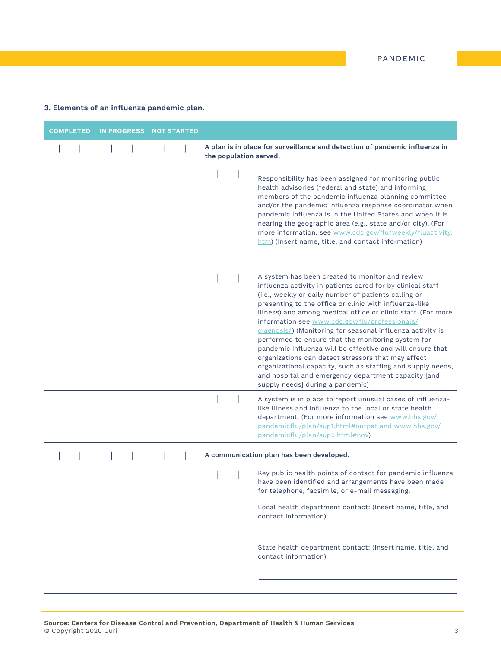## **3. Elements of an influenza pandemic plan.**

| <b>COMPLETED</b> | <b>IN PROGRESS</b> | <b>NOT STARTED</b> |                                                                                                                                                                                                                                                                                                                                                                                                                                                                                                                                                                                                                                                                                                                                                    |
|------------------|--------------------|--------------------|----------------------------------------------------------------------------------------------------------------------------------------------------------------------------------------------------------------------------------------------------------------------------------------------------------------------------------------------------------------------------------------------------------------------------------------------------------------------------------------------------------------------------------------------------------------------------------------------------------------------------------------------------------------------------------------------------------------------------------------------------|
|                  |                    |                    | A plan is in place for surveillance and detection of pandemic influenza in<br>the population served.                                                                                                                                                                                                                                                                                                                                                                                                                                                                                                                                                                                                                                               |
|                  |                    |                    | Responsibility has been assigned for monitoring public<br>health advisories (federal and state) and informing<br>members of the pandemic influenza planning committee<br>and/or the pandemic influenza response coordinator when<br>pandemic influenza is in the United States and when it is<br>nearing the geographic area (e.g., state and/or city). (For<br>more information, see www.cdc.gov/flu/weekly/fluactivity.<br>htm) (Insert name, title, and contact information)                                                                                                                                                                                                                                                                    |
|                  |                    |                    | A system has been created to monitor and review<br>influenza activity in patients cared for by clinical staff<br>(i.e., weekly or daily number of patients calling or<br>presenting to the office or clinic with influenza-like<br>illness) and among medical office or clinic staff. (For more<br>information see www.cdc.gov/flu/professionals/<br>diagnosis/) (Monitoring for seasonal influenza activity is<br>performed to ensure that the monitoring system for<br>pandemic influenza will be effective and will ensure that<br>organizations can detect stressors that may affect<br>organizational capacity, such as staffing and supply needs,<br>and hospital and emergency department capacity [and<br>supply needs] during a pandemic) |
|                  |                    |                    | A system is in place to report unusual cases of influenza-<br>like illness and influenza to the local or state health<br>department. (For more information see www.hhs.gov/<br>pandemicflu/plan/sup1.html#outpat and www.hhs.gov/<br>pandemicflu/plan/sup5.html#nov)                                                                                                                                                                                                                                                                                                                                                                                                                                                                               |
|                  |                    |                    | A communication plan has been developed.                                                                                                                                                                                                                                                                                                                                                                                                                                                                                                                                                                                                                                                                                                           |
|                  |                    |                    | Key public health points of contact for pandemic influenza<br>have been identified and arrangements have been made<br>for telephone, facsimile, or e-mail messaging.                                                                                                                                                                                                                                                                                                                                                                                                                                                                                                                                                                               |
|                  |                    |                    | Local health department contact: (Insert name, title, and<br>contact information)                                                                                                                                                                                                                                                                                                                                                                                                                                                                                                                                                                                                                                                                  |
|                  |                    |                    | State health department contact: (Insert name, title, and<br>contact information)                                                                                                                                                                                                                                                                                                                                                                                                                                                                                                                                                                                                                                                                  |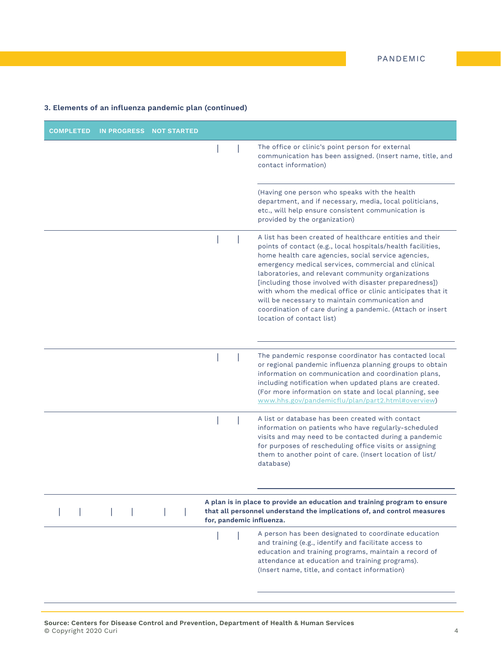| The office or clinic's point person for external<br>communication has been assigned. (Insert name, title, and<br>contact information)<br>(Having one person who speaks with the health<br>department, and if necessary, media, local politicians,<br>etc., will help ensure consistent communication is<br>provided by the organization)<br>A list has been created of healthcare entities and their<br>points of contact (e.g., local hospitals/health facilities,<br>home health care agencies, social service agencies,<br>emergency medical services, commercial and clinical<br>laboratories, and relevant community organizations<br>[including those involved with disaster preparedness])<br>with whom the medical office or clinic anticipates that it<br>will be necessary to maintain communication and<br>coordination of care during a pandemic. (Attach or insert<br>location of contact list) |  |
|--------------------------------------------------------------------------------------------------------------------------------------------------------------------------------------------------------------------------------------------------------------------------------------------------------------------------------------------------------------------------------------------------------------------------------------------------------------------------------------------------------------------------------------------------------------------------------------------------------------------------------------------------------------------------------------------------------------------------------------------------------------------------------------------------------------------------------------------------------------------------------------------------------------|--|
|                                                                                                                                                                                                                                                                                                                                                                                                                                                                                                                                                                                                                                                                                                                                                                                                                                                                                                              |  |
|                                                                                                                                                                                                                                                                                                                                                                                                                                                                                                                                                                                                                                                                                                                                                                                                                                                                                                              |  |
|                                                                                                                                                                                                                                                                                                                                                                                                                                                                                                                                                                                                                                                                                                                                                                                                                                                                                                              |  |
| The pandemic response coordinator has contacted local<br>or regional pandemic influenza planning groups to obtain<br>information on communication and coordination plans,<br>including notification when updated plans are created.<br>(For more information on state and local planning, see<br>www.hhs.gov/pandemicflu/plan/part2.html#overview)                                                                                                                                                                                                                                                                                                                                                                                                                                                                                                                                                           |  |
| A list or database has been created with contact<br>information on patients who have regularly-scheduled<br>visits and may need to be contacted during a pandemic<br>for purposes of rescheduling office visits or assigning<br>them to another point of care. (Insert location of list/<br>database)                                                                                                                                                                                                                                                                                                                                                                                                                                                                                                                                                                                                        |  |
| A plan is in place to provide an education and training program to ensure<br>that all personnel understand the implications of, and control measures                                                                                                                                                                                                                                                                                                                                                                                                                                                                                                                                                                                                                                                                                                                                                         |  |
| for, pandemic influenza.                                                                                                                                                                                                                                                                                                                                                                                                                                                                                                                                                                                                                                                                                                                                                                                                                                                                                     |  |
| A person has been designated to coordinate education<br>and training (e.g., identify and facilitate access to<br>education and training programs, maintain a record of<br>attendance at education and training programs).<br>(Insert name, title, and contact information)                                                                                                                                                                                                                                                                                                                                                                                                                                                                                                                                                                                                                                   |  |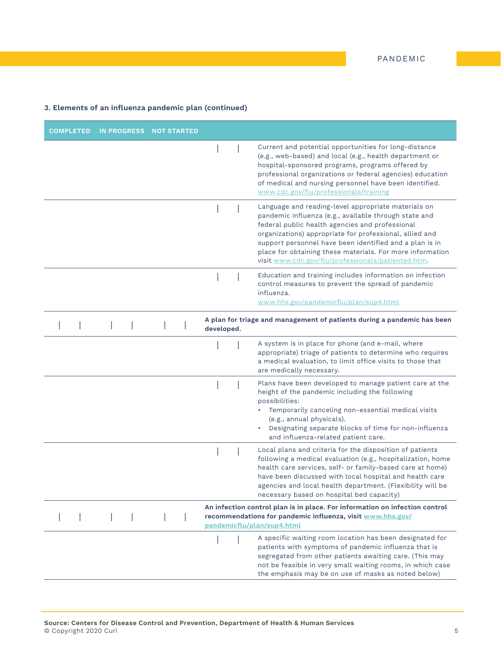| <b>COMPLETED</b> | IN PROGRESS NOT STARTED |            |                                                                                                                                                                                                                                                                                                                                                                                                          |
|------------------|-------------------------|------------|----------------------------------------------------------------------------------------------------------------------------------------------------------------------------------------------------------------------------------------------------------------------------------------------------------------------------------------------------------------------------------------------------------|
|                  |                         |            | Current and potential opportunities for long-distance<br>(e.g., web-based) and local (e.g., health department or<br>hospital-sponsored programs, programs offered by<br>professional organizations or federal agencies) education<br>of medical and nursing personnel have been identified.<br>www.cdc.gov/flu/professionals/training                                                                    |
|                  |                         |            | Language and reading-level appropriate materials on<br>pandemic influenza (e.g., available through state and<br>federal public health agencies and professional<br>organizations) appropriate for professional, allied and<br>support personnel have been identified and a plan is in<br>place for obtaining these materials. For more information<br>visit www.cdc.gov/flu/professionals/patiented.htm. |
|                  |                         |            | Education and training includes information on infection<br>control measures to prevent the spread of pandemic<br>influenza.<br>www.hhs.gov/pandemicflu/plan/sup4.html                                                                                                                                                                                                                                   |
|                  |                         | developed. | A plan for triage and management of patients during a pandemic has been                                                                                                                                                                                                                                                                                                                                  |
|                  |                         |            | A system is in place for phone (and e-mail, where<br>appropriate) triage of patients to determine who requires<br>a medical evaluation, to limit office visits to those that<br>are medically necessary.                                                                                                                                                                                                 |
|                  |                         |            | Plans have been developed to manage patient care at the<br>height of the pandemic including the following<br>possibilities:<br>Temporarily canceling non-essential medical visits<br>(e.g., annual physicals).<br>Designating separate blocks of time for non-influenza<br>and influenza-related patient care.                                                                                           |
|                  |                         |            | Local plans and criteria for the disposition of patients<br>following a medical evaluation (e.g., hospitalization, home<br>health care services, self- or family-based care at home)<br>have been discussed with local hospital and health care<br>agencies and local health department. (Flexibility will be<br>necessary based on hospital bed capacity)                                               |
|                  |                         |            | An infection control plan is in place. For information on infection control<br>recommendations for pandemic influenza, visit www.hhs.gov/<br>pandemicflu/plan/sup4.html                                                                                                                                                                                                                                  |
|                  |                         |            | A specific waiting room location has been designated for<br>patients with symptoms of pandemic influenza that is<br>segregated from other patients awaiting care. (This may<br>not be feasible in very small waiting rooms, in which case<br>the emphasis may be on use of masks as noted below)                                                                                                         |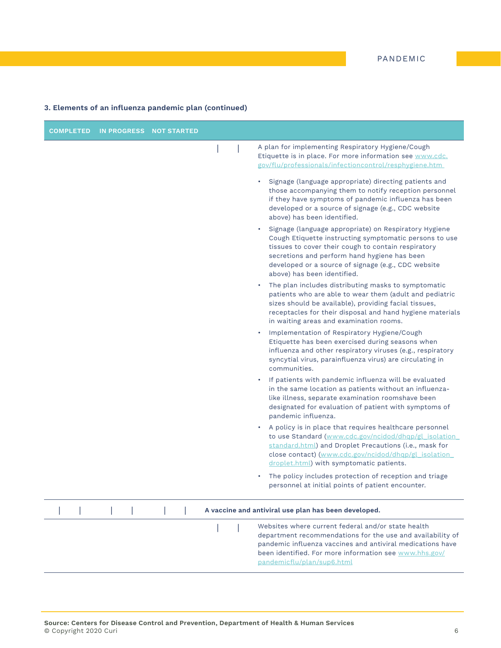| <b>COMPLETED</b> | <b>IN PROGRESS</b> | <b>NOT STARTED</b> |                                                                                                                                                                                                                                                                                                              |
|------------------|--------------------|--------------------|--------------------------------------------------------------------------------------------------------------------------------------------------------------------------------------------------------------------------------------------------------------------------------------------------------------|
|                  |                    |                    | A plan for implementing Respiratory Hygiene/Cough<br>Etiquette is in place. For more information see www.cdc.<br>gov/flu/professionals/infectioncontrol/resphygiene.htm                                                                                                                                      |
|                  |                    |                    | Signage (language appropriate) directing patients and<br>$\bullet$<br>those accompanying them to notify reception personnel<br>if they have symptoms of pandemic influenza has been<br>developed or a source of signage (e.g., CDC website<br>above) has been identified.                                    |
|                  |                    |                    | Signage (language appropriate) on Respiratory Hygiene<br>Cough Etiquette instructing symptomatic persons to use<br>tissues to cover their cough to contain respiratory<br>secretions and perform hand hygiene has been<br>developed or a source of signage (e.g., CDC website<br>above) has been identified. |
|                  |                    |                    | The plan includes distributing masks to symptomatic<br>٠<br>patients who are able to wear them (adult and pediatric<br>sizes should be available), providing facial tissues,<br>receptacles for their disposal and hand hygiene materials<br>in waiting areas and examination rooms.                         |
|                  |                    |                    | Implementation of Respiratory Hygiene/Cough<br>Etiquette has been exercised during seasons when<br>influenza and other respiratory viruses (e.g., respiratory<br>syncytial virus, parainfluenza virus) are circulating in<br>communities.                                                                    |
|                  |                    |                    | If patients with pandemic influenza will be evaluated<br>$\bullet$<br>in the same location as patients without an influenza-<br>like illness, separate examination roomshave been<br>designated for evaluation of patient with symptoms of<br>pandemic influenza.                                            |
|                  |                    |                    | A policy is in place that requires healthcare personnel<br>to use Standard (www.cdc.gov/ncidod/dhqp/gl_isolation_<br>standard.html) and Droplet Precautions (i.e., mask for<br>close contact) (www.cdc.gov/ncidod/dhqp/gl_isolation_<br>droplet.html) with symptomatic patients.                             |
|                  |                    |                    | The policy includes protection of reception and triage<br>٠<br>personnel at initial points of patient encounter.                                                                                                                                                                                             |
|                  |                    |                    | A vaccine and antiviral use plan has been developed.                                                                                                                                                                                                                                                         |
|                  |                    |                    | Websites where current federal and/or state health<br>department recommendations for the use and availability of<br>pandemic influenza vaccines and antiviral medications have<br>been identified. For more information see www.hhs.gov/<br>pandemicflu/plan/sup6.html                                       |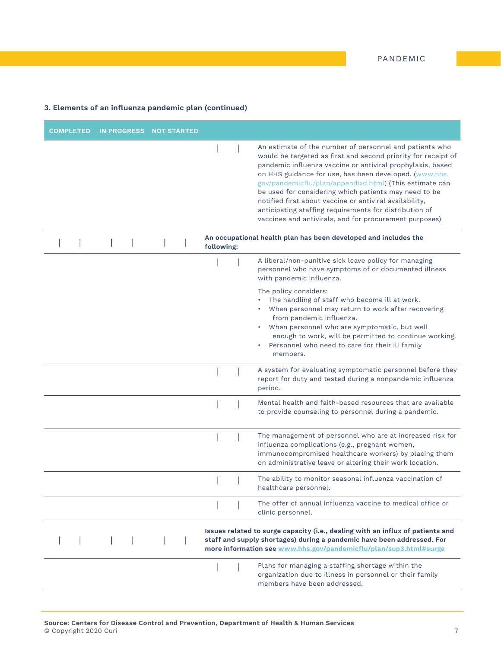| <b>COMPLETED</b> | IN PROGRESS NOT STARTED |            |                                                                                                                                                                                                                                                                                                                                                                                                                                                                                                                                                     |
|------------------|-------------------------|------------|-----------------------------------------------------------------------------------------------------------------------------------------------------------------------------------------------------------------------------------------------------------------------------------------------------------------------------------------------------------------------------------------------------------------------------------------------------------------------------------------------------------------------------------------------------|
|                  |                         |            | An estimate of the number of personnel and patients who<br>would be targeted as first and second priority for receipt of<br>pandemic influenza vaccine or antiviral prophylaxis, based<br>on HHS guidance for use, has been developed. (www.hhs.<br>gov/pandemicflu/plan/appendixd.html) (This estimate can<br>be used for considering which patients may need to be<br>notified first about vaccine or antiviral availability,<br>anticipating staffing requirements for distribution of<br>vaccines and antivirals, and for procurement purposes) |
|                  |                         | following: | An occupational health plan has been developed and includes the                                                                                                                                                                                                                                                                                                                                                                                                                                                                                     |
|                  |                         |            | A liberal/non-punitive sick leave policy for managing<br>personnel who have symptoms of or documented illness<br>with pandemic influenza.                                                                                                                                                                                                                                                                                                                                                                                                           |
|                  |                         |            | The policy considers:<br>The handling of staff who become ill at work.<br>When personnel may return to work after recovering<br>from pandemic influenza.<br>When personnel who are symptomatic, but well<br>enough to work, will be permitted to continue working.<br>Personnel who need to care for their ill family<br>members.                                                                                                                                                                                                                   |
|                  |                         |            | A system for evaluating symptomatic personnel before they<br>report for duty and tested during a nonpandemic influenza<br>period.                                                                                                                                                                                                                                                                                                                                                                                                                   |
|                  |                         |            | Mental health and faith-based resources that are available<br>to provide counseling to personnel during a pandemic.                                                                                                                                                                                                                                                                                                                                                                                                                                 |
|                  |                         |            | The management of personnel who are at increased risk for<br>influenza complications (e.g., pregnant women,<br>immunocompromised healthcare workers) by placing them<br>on administrative leave or altering their work location.                                                                                                                                                                                                                                                                                                                    |
|                  |                         |            | The ability to monitor seasonal influenza vaccination of<br>healthcare personnel.                                                                                                                                                                                                                                                                                                                                                                                                                                                                   |
|                  |                         |            | The offer of annual influenza vaccine to medical office or<br>clinic personnel.                                                                                                                                                                                                                                                                                                                                                                                                                                                                     |
|                  |                         |            | Issues related to surge capacity (i.e., dealing with an influx of patients and<br>staff and supply shortages) during a pandemic have been addressed. For<br>more information see www.hhs.gov/pandemicflu/plan/sup3.html#surge                                                                                                                                                                                                                                                                                                                       |
|                  |                         |            | Plans for managing a staffing shortage within the<br>organization due to illness in personnel or their family<br>members have been addressed.                                                                                                                                                                                                                                                                                                                                                                                                       |